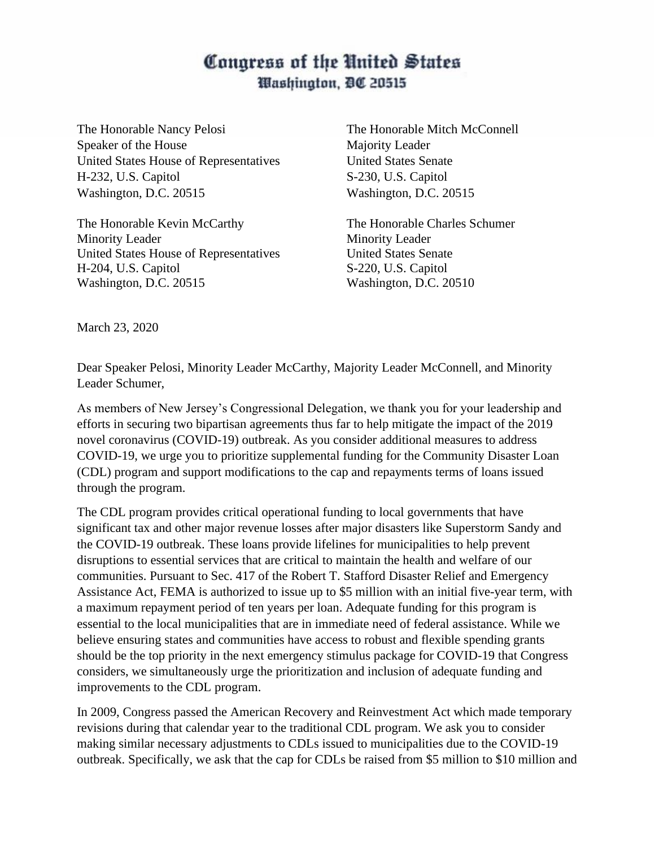## Congress of the United States Washington, DC 20515

The Honorable Nancy Pelosi The Honorable Mitch McConnell Speaker of the House Majority Leader United States House of Representatives United States Senate H-232, U.S. Capitol S-230, U.S. Capitol Washington, D.C. 20515 Washington, D.C. 20515

The Honorable Kevin McCarthy The Honorable Charles Schumer Minority Leader Minority Leader United States House of Representatives United States Senate H-204, U.S. Capitol S-220, U.S. Capitol Washington, D.C. 20515 Washington, D.C. 20510

March 23, 2020

Dear Speaker Pelosi, Minority Leader McCarthy, Majority Leader McConnell, and Minority Leader Schumer,

As members of New Jersey's Congressional Delegation, we thank you for your leadership and efforts in securing two bipartisan agreements thus far to help mitigate the impact of the 2019 novel coronavirus (COVID-19) outbreak. As you consider additional measures to address COVID-19, we urge you to prioritize supplemental funding for the Community Disaster Loan (CDL) program and support modifications to the cap and repayments terms of loans issued through the program.

The CDL program provides critical operational funding to local governments that have significant tax and other major revenue losses after major disasters like Superstorm Sandy and the COVID-19 outbreak. These loans provide lifelines for municipalities to help prevent disruptions to essential services that are critical to maintain the health and welfare of our communities. Pursuant to Sec. 417 of the Robert T. Stafford Disaster Relief and Emergency Assistance Act, FEMA is authorized to issue up to \$5 million with an initial five-year term, with a maximum repayment period of ten years per loan. Adequate funding for this program is essential to the local municipalities that are in immediate need of federal assistance. While we believe ensuring states and communities have access to robust and flexible spending grants should be the top priority in the next emergency stimulus package for COVID-19 that Congress considers, we simultaneously urge the prioritization and inclusion of adequate funding and improvements to the CDL program.

In 2009, Congress passed the American Recovery and Reinvestment Act which made temporary revisions during that calendar year to the traditional CDL program. We ask you to consider making similar necessary adjustments to CDLs issued to municipalities due to the COVID-19 outbreak. Specifically, we ask that the cap for CDLs be raised from \$5 million to \$10 million and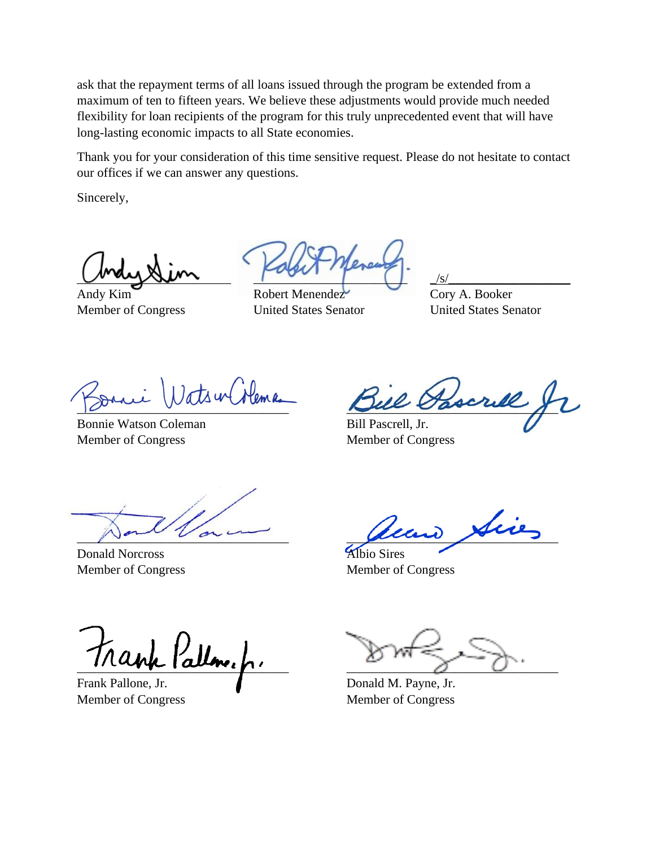ask that the repayment terms of all loans issued through the program be extended from a maximum of ten to fifteen years. We believe these adjustments would provide much needed flexibility for loan recipients of the program for this truly unprecedented event that will have long-lasting economic impacts to all State economies.

Thank you for your consideration of this time sensitive request. Please do not hesitate to contact our offices if we can answer any questions.

Sincerely,

\_\_\_\_\_\_\_\_\_\_\_\_\_\_\_\_\_\_\_\_\_\_\_\_ \_\_\_\_\_\_\_\_\_\_\_\_\_\_\_\_\_\_\_\_\_\_\_\_ \_/s/\_\_\_\_\_\_\_\_\_\_\_\_\_\_\_\_\_\_\_

Andy Kim Robert Menendez Cory A. Booker Member of Congress United States Senator United States Senator

Bonnie Watson Coleman Bill Pascrell, Jr. Member of Congress Member of Congress

 $\mu$  and  $\mu$  and  $\mu$ 

 $\mu$  and  $\mu$  and  $\mu$ 

Donald Norcross Albio Sires

teir

Member of Congress Member of Congress

 $\frac{\partial}{\partial x_i}$ 

Frank Pallone, Jr. **Donald M. Payne, Jr.** Donald M. Payne, Jr.

Member of Congress Member of Congress